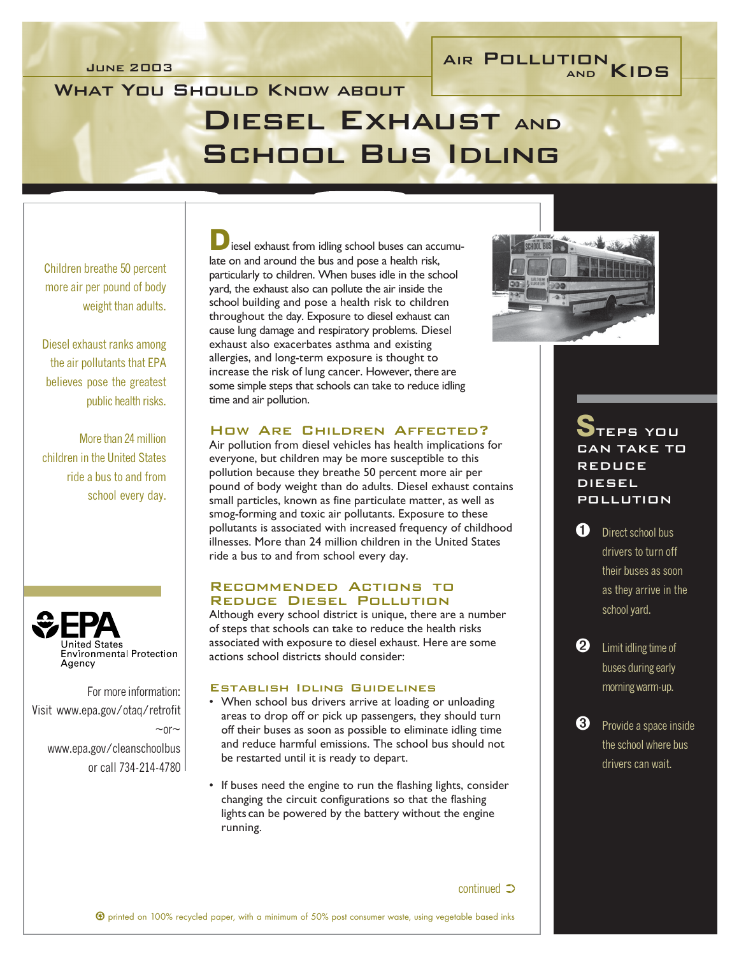# JUNE 2003 AIR POLLUTION<br>
AIR POLLUTION<br>
AND KIDS

## WHAT YOU SHOULD KNOW ABOUT Diesel Exhaust and School Bus Idling

Children breathe 50 percent more air per pound of body weight than adults.

Diesel exhaust ranks among the air pollutants that EPA believes pose the greatest public health risks.

More than 24 million children in the United States ride a bus to and from school every day.



For more information: Visit www.epa.gov/otaq/retrofit  $~\sim$  or  $~\sim$ www.epa.gov/cleanschoolbus or call 734-214-4780

iesel exhaust from idling school buses can accumulate on and around the bus and pose a health risk, particularly to children. When buses idle in the school yard, the exhaust also can pollute the air inside the school building and pose a health risk to children throughout the day. Exposure to diesel exhaust can cause lung damage and respiratory problems. Diesel exhaust also exacerbates asthma and existing allergies, and long-term exposure is thought to increase the risk of lung cancer. However, there are some simple steps that schools can take to reduce idling time and air pollution.

## How Are Children Affected?

Air pollution from diesel vehicles has health implications for everyone, but children may be more susceptible to this pollution because they breathe 50 percent more air per pound of body weight than do adults. Diesel exhaust contains small particles, known as fine particulate matter, as well as smog-forming and toxic air pollutants. Exposure to these pollutants is associated with increased frequency of childhood illnesses. More than 24 million children in the United States ride a bus to and from school every day.

## Recommended Actions to Reduce Diesel Pollution

Although every school district is unique, there are a number of steps that schools can take to reduce the health risks associated with exposure to diesel exhaust. Here are some actions school districts should consider:

#### Establish Idling Guidelines

- When school bus drivers arrive at loading or unloading areas to drop off or pick up passengers, they should turn off their buses as soon as possible to eliminate idling time and reduce harmful emissions. The school bus should not be restarted until it is ready to depart.
- If buses need the engine to run the flashing lights, consider changing the circuit configurations so that the flashing lights can be powered by the battery without the engine running.



## EPS YOU CAN TAKE TO REDUCE DIESEL POLLUTION

**1** Direct school bus drivers to turn off their buses as soon as they arrive in the school yard.

**2** Limit idling time of buses during early morning warm-up.

**3** Provide a space inside the school where bus drivers can wait.

 $continued$   $\supset$